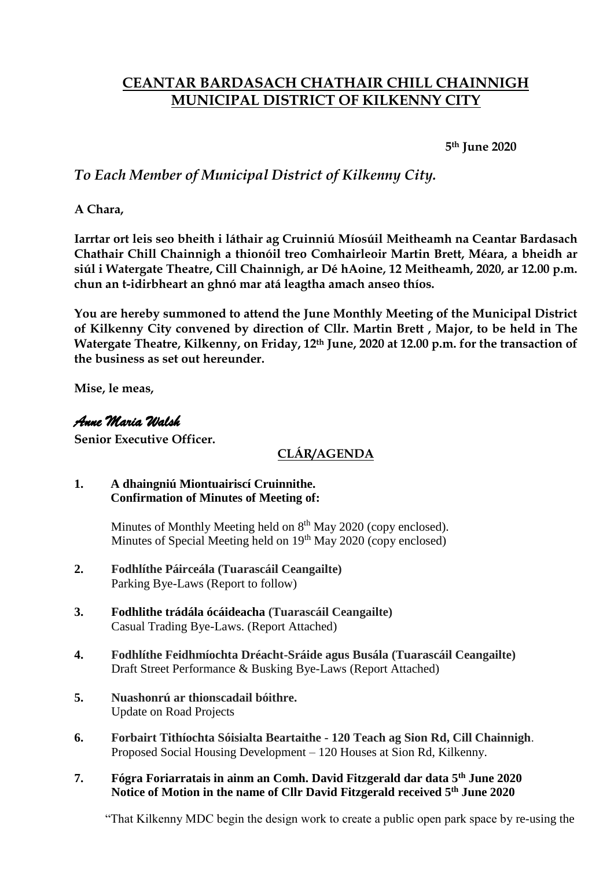# **CEANTAR BARDASACH CHATHAIR CHILL CHAINNIGH MUNICIPAL DISTRICT OF KILKENNY CITY**

**5th June 2020**

# *To Each Member of Municipal District of Kilkenny City.*

**A Chara,**

**Iarrtar ort leis seo bheith i láthair ag Cruinniú Míosúil Meitheamh na Ceantar Bardasach Chathair Chill Chainnigh a thionóil treo Comhairleoir Martin Brett, Méara, a bheidh ar siúl i Watergate Theatre, Cill Chainnigh, ar Dé hAoine, 12 Meitheamh, 2020, ar 12.00 p.m. chun an t-idirbheart an ghnó mar atá leagtha amach anseo thíos.**

**You are hereby summoned to attend the June Monthly Meeting of the Municipal District of Kilkenny City convened by direction of Cllr. Martin Brett , Major, to be held in The Watergate Theatre, Kilkenny, on Friday, 12th June, 2020 at 12.00 p.m. for the transaction of the business as set out hereunder.**

**Mise, le meas,**

### *Anne Maria Walsh*

**Senior Executive Officer.**

# **CLÁR/AGENDA**

#### **1. A dhaingniú Miontuairiscí Cruinnithe. Confirmation of Minutes of Meeting of:**

Minutes of Monthly Meeting held on  $8<sup>th</sup>$  May 2020 (copy enclosed). Minutes of Special Meeting held on 19<sup>th</sup> May 2020 (copy enclosed)

- **2. Fodhlíthe Páirceála (Tuarascáil Ceangailte)** Parking Bye-Laws (Report to follow)
- **3. Fodhlithe trádála ócáideacha (Tuarascáil Ceangailte)** Casual Trading Bye-Laws. (Report Attached)
- **4. Fodhlíthe Feidhmíochta Dréacht-Sráide agus Busála (Tuarascáil Ceangailte)** Draft Street Performance & Busking Bye-Laws (Report Attached)
- **5. Nuashonrú ar thionscadail bóithre.** Update on Road Projects
- **6. Forbairt Tithíochta Sóisialta Beartaithe - 120 Teach ag Sion Rd, Cill Chainnigh**. Proposed Social Housing Development – 120 Houses at Sion Rd, Kilkenny.
- **7. Fógra Foriarratais in ainm an Comh. David Fitzgerald dar data 5th June 2020 Notice of Motion in the name of Cllr David Fitzgerald received 5th June 2020**

"That Kilkenny MDC begin the design work to create a public open park space by re-using the